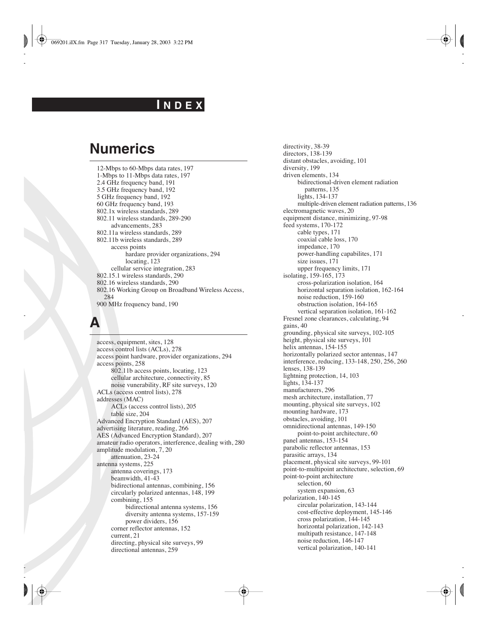#### **I N D E X**

#### **Numerics**

12-Mbps to 60-Mbps data rates, 197 1-Mbps to 11-Mbps data rates, 197 2.4 GHz frequency band, 191 3.5 GHz frequency band, 192 5 GHz frequency band, 192 60 GHz frequency band, 193 802.1x wireless standards, 289 802.11 wireless standards, 289-290 advancements, 283 802.11a wireless standards, 289 802.11b wireless standards, 289 access points hardare provider organizations, 294 locating, 123 cellular service integration, 283 802.15.1 wireless standards, 290 802.16 wireless standards, 290 802.16 Working Group on Broadband Wireless Access, 284 900 MHz frequency band, 190

#### **A**

access, equipment, sites, 128 access control lists (ACLs), 278 access point hardware, provider organizations, 294 access points, 258 802.11b access points, locating, 123 cellular architecture, connectivity, 85 noise vunerability, RF site surveys, 120 ACLs (access control lists), 278 addresses (MAC) ACLs (access control lists), 205 table size, 204 Advanced Encryption Standard (AES), 207 advertising literature, reading, 266 AES (Advanced Encryption Standard), 207 amateur radio operators, interference, dealing with, 280 amplitude modulation, 7, 20 attenuation, 23-24 antenna systems, 225 antenna coverings, 173 beamwidth, 41-43 bidirectional antennas, combining, 156 circularly polarized antennas, 148, 199 combining, 155 bidirectional antenna systems, 156 diversity antenna systems, 157-159 power dividers, 156 corner reflector antennas, 152 current, 21 directing, physical site surveys, 99 directional antennas, 259

directivity, 38-39 directors, 138-139 distant obstacles, avoiding, 101 diversity, 199 driven elements, 134 bidirectional-driven element radiation patterns, 135 lights, 134-137 multiple-driven element radiation patterns, 136 electromagnetic waves, 20 equipment distance, minimizing, 97-98 feed systems, 170-172 cable types, 171 coaxial cable loss, 170 impedance, 170 power-handling capabilites, 171 size issues, 171 upper frequency limits, 171 isolating, 159-165, 173 cross-polarization isolation, 164 horizontal separation isolation, 162-164 noise reduction, 159-160 obstruction isolation, 164-165 vertical separation isolation, 161-162 Fresnel zone clearances, calculating, 94 gains, 40 grounding, physical site surveys, 102-105 height, physical site surveys, 101 helix antennas, 154-155 horizontally polarized sector antennas, 147 interference, reducing, 133-148, 250, 256, 260 lenses, 138-139 lightning protection, 14, 103 lights, 134-137 manufacturers, 296 mesh architecture, installation, 77 mounting, physical site surveys, 102 mounting hardware, 173 obstacles, avoiding, 101 omnidirectional antennas, 149-150 point-to-point architecture, 60 panel antennas, 153-154 parabolic reflector antennas, 153 parasitic arrays, 134 placement, physical site surveys, 99-101 point-to-multipoint architecture, selection, 69 point-to-point architecture selection, 60 system expansion, 63 polarization, 140-145 circular polarization, 143-144 cost-effective deployment, 145-146 cross polarization, 144-145 horizontal polarization, 142-143 multipath resistance, 147-148 noise reduction, 146-147 vertical polarization, 140-141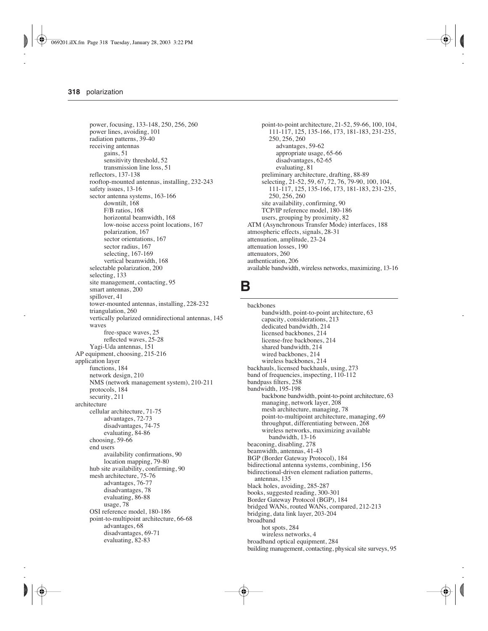power, focusing, 133-148, 250, 256, 260 power lines, avoiding, 101 radiation patterns, 39-40 receiving antennas gains, 51 sensitivity threshold, 52 transmission line loss, 51 reflectors, 137-138 rooftop-mounted antennas, installing, 232-243 safety issues, 13-16 sector antenna systems, 163-166 downtilt, 168 F/B ratios, 168 horizontal beamwidth, 168 low-noise access point locations, 167 polarization, 167 sector orientations, 167 sector radius, 167 selecting, 167-169 vertical beamwidth, 168 selectable polarization, 200 selecting, 133 site management, contacting, 95 smart antennas, 200 spillover, 41 tower-mounted antennas, installing, 228-232 triangulation, 260 vertically polarized omnidirectional antennas, 145 waves free-space waves, 25 reflected waves, 25-28 Yagi-Uda antennas, 151 AP equipment, choosing, 215-216 application layer functions, 184 network design, 210 NMS (network management system), 210-211 protocols, 184 security, 211 architecture cellular architecture, 71-75 advantages, 72-73 disadvantages, 74-75 evaluating, 84-86 choosing, 59-66 end users availability confirmations, 90 location mapping, 79-80 hub site availability, confirming, 90 mesh architecture, 75-76 advantages, 76-77 disadvantages, 78 evaluating, 86-88 usage, 78 OSI reference model, 180-186 point-to-multipoint architecture, 66-68 advantages, 68 disadvantages, 69-71 evaluating, 82-83

point-to-point architecture, 21-52, 59-66, 100, 104, 111-117, 125, 135-166, 173, 181-183, 231-235, 250, 256, 260 advantages, 59-62 appropriate usage, 65-66 disadvantages, 62-65 evaluating, 81 preliminary architecture, drafting, 88-89 selecting, 21-52, 59, 67, 72, 76, 79-90, 100, 104, 111-117, 125, 135-166, 173, 181-183, 231-235, 250, 256, 260 site availability, confirming, 90 TCP/IP reference model, 180-186 users, grouping by proximity, 82 ATM (Asynchronous Transfer Mode) interfaces, 188 atmospheric effects, signals, 28-31 attenuation, amplitude, 23-24 attenuation losses, 190 attenuators, 260 authentication, 206 available bandwidth, wireless networks, maximizing, 13-16

#### **B**

backbones bandwidth, point-to-point architecture, 63 capacity, considerations, 213 dedicated bandwidth, 214 licensed backbones, 214 license-free backbones, 214 shared bandwidth, 214 wired backbones, 214 wireless backbones, 214 backhauls, licensed backhauls, using, 273 band of frequencies, inspecting, 110-112 bandpass filters, 258 bandwidth, 195-198 backbone bandwidth, point-to-point architecture, 63 managing, network layer, 208 mesh architecture, managing, 78 point-to-multipoint architecture, managing, 69 throughput, differentiating between, 268 wireless networks, maximizing available bandwidth, 13-16 beaconing, disabling, 278 beamwidth, antennas, 41-43 BGP (Border Gateway Protocol), 184 bidirectional antenna systems, combining, 156 bidirectional-driven element radiation patterns, antennas, 135 black holes, avoiding, 285-287 books, suggested reading, 300-301 Border Gateway Protocol (BGP), 184 bridged WANs, routed WANs, compared, 212-213 bridging, data link layer, 203-204 broadband hot spots, 284 wireless networks, 4 broadband optical equipment, 284 building management, contacting, physical site surveys, 95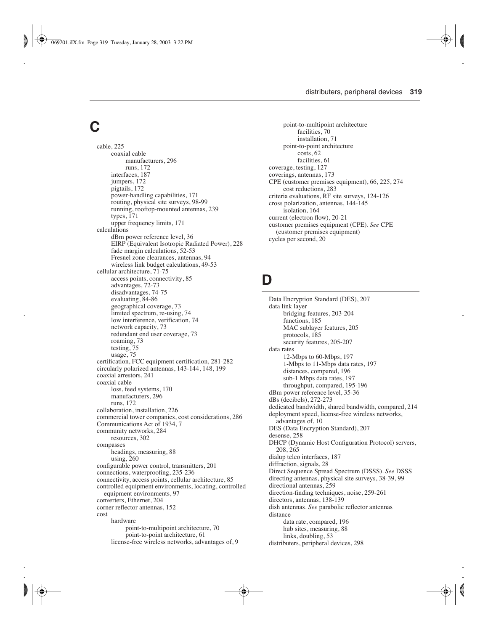# **C**

cable, 225 coaxial cable manufacturers, 296 runs, 172 interfaces, 187 jumpers, 172 pigtails, 172 power-handling capabilities, 171 routing, physical site surveys, 98-99 running, rooftop-mounted antennas, 239 types, 171 upper frequency limits, 171 calculations dBm power reference level, 36 EIRP (Equivalent Isotropic Radiated Power), 228 fade margin calculations, 52-53 Fresnel zone clearances, antennas, 94 wireless link budget calculations, 49-53 cellular architecture, 71-75 access points, connectivity, 85 advantages, 72-73 disadvantages, 74-75 evaluating, 84-86 geographical coverage, 73 limited spectrum, re-using, 74 low interference, verification, 74 network capacity, 73 redundant end user coverage, 73 roaming, 73 testing, 75 usage, 75 certification, FCC equipment certification, 281-282 circularly polarized antennas, 143-144, 148, 199 coaxial arrestors, 241 coaxial cable loss, feed systems, 170 manufacturers, 296 runs, 172 collaboration, installation, 226 commercial tower companies, cost considerations, 286 Communications Act of 1934, 7 community networks, 284 resources, 302 compasses headings, measuring, 88 using, 260 configurable power control, transmitters, 201 connections, waterproofing, 235-236 connectivity, access points, cellular architecture, 85 controlled equipment environments, locating, controlled equipment environments, 97 converters, Ethernet, 204 corner reflector antennas, 152 cost hardware point-to-multipoint architecture, 70 point-to-point architecture, 61 license-free wireless networks, advantages of, 9

point-to-multipoint architecture facilities, 70 installation, 71 point-to-point architecture costs, 62 facilities, 61 coverage, testing, 127 coverings, antennas, 173 CPE (customer premises equipment), 66, 225, 274 cost reductions, 283 criteria evaluations, RF site surveys, 124-126 cross polarization, antennas, 144-145 isolation, 164 current (electron flow), 20-21 customer premises equipment (CPE). *See* CPE (customer premises equipment) cycles per second, 20

### **D**

Data Encryption Standard (DES), 207 data link layer bridging features, 203-204 functions, 185 MAC sublayer features, 205 protocols, 185 security features, 205-207 data rates 12-Mbps to 60-Mbps, 197 1-Mbps to 11-Mbps data rates, 197 distances, compared, 196 sub-1 Mbps data rates, 197 throughput, compared, 195-196 dBm power reference level, 35-36 dBs (decibels), 272-273 dedicated bandwidth, shared bandwidth, compared, 214 deployment speed, license-free wireless networks, advantages of, 10 DES (Data Encryption Standard), 207 desense, 258 DHCP (Dynamic Host Configuration Protocol) servers, 208, 265 dialup telco interfaces, 187 diffraction, signals, 28 Direct Sequence Spread Spectrum (DSSS). *See* DSSS directing antennas, physical site surveys, 38-39, 99 directional antennas, 259 direction-finding techniques, noise, 259-261 directors, antennas, 138-139 dish antennas. *See* parabolic reflector antennas distance data rate, compared, 196 hub sites, measuring, 88 links, doubling, 53 distributers, peripheral devices, 298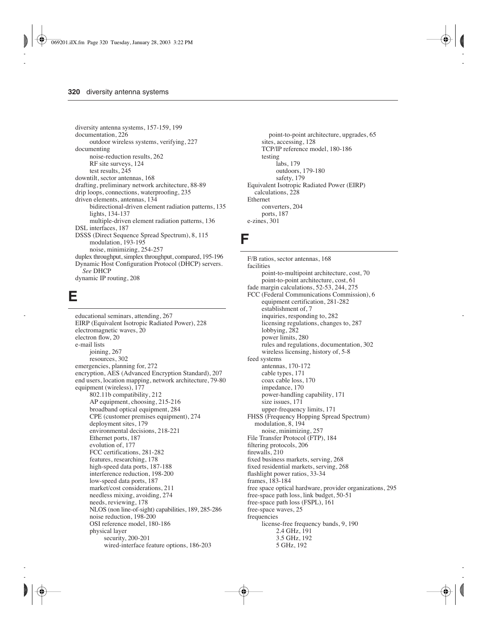diversity antenna systems, 157-159, 199 documentation, 226 outdoor wireless systems, verifying, 227 documenting noise-reduction results, 262 RF site surveys, 124 test results, 245 downtilt, sector antennas, 168 drafting, preliminary network architecture, 88-89 drip loops, connections, waterproofing, 235 driven elements, antennas, 134 bidirectional-driven element radiation patterns, 135 lights, 134-137 multiple-driven element radiation patterns, 136 DSL interfaces, 187 DSSS (Direct Sequence Spread Spectrum), 8, 115 modulation, 193-195 noise, minimizing, 254-257 duplex throughput, simplex throughput, compared, 195-196 Dynamic Host Configuration Protocol (DHCP) servers. *See* DHCP dynamic IP routing, 208

#### **E**

educational seminars, attending, 267 EIRP (Equivalent Isotropic Radiated Power), 228 electromagnetic waves, 20 electron flow, 20 e-mail lists joining, 267 resources, 302 emergencies, planning for, 272 encryption, AES (Advanced Encryption Standard), 207 end users, location mapping, network architecture, 79-80 equipment (wireless), 177 802.11b compatibility, 212 AP equipment, choosing, 215-216 broadband optical equipment, 284 CPE (customer premises equipment), 274 deployment sites, 179 environmental decisions, 218-221 Ethernet ports, 187 evolution of, 177 FCC certifications, 281-282 features, researching, 178 high-speed data ports, 187-188 interference reduction, 198-200 low-speed data ports, 187 market/cost considerations, 211 needless mixing, avoiding, 274 needs, reviewing, 178 NLOS (non line-of-sight) capabilities, 189, 285-286 noise reduction, 198-200 OSI reference model, 180-186 physical layer security, 200-201 wired-interface feature options, 186-203

point-to-point architecture, upgrades, 65 sites, accessing, 128 TCP/IP reference model, 180-186 testing labs, 179 outdoors, 179-180 safety, 179 Equivalent Isotropic Radiated Power (EIRP) calculations, 228 Ethernet converters, 204 ports, 187 e-zines, 301

#### **F**

F/B ratios, sector antennas, 168 facilities point-to-multipoint architecture, cost, 70 point-to-point architecture, cost, 61 fade margin calculations, 52-53, 244, 275 FCC (Federal Communications Commission), 6 equipment certification, 281-282 establishment of, 7 inquiries, responding to, 282 licensing regulations, changes to, 287 lobbying, 282 power limits, 280 rules and regulations, documentation, 302 wireless licensing, history of, 5-8 feed systems antennas, 170-172 cable types, 171 coax cable loss, 170 impedance, 170 power-handling capability, 171 size issues, 171 upper-frequency limits, 171 FHSS (Frequency Hopping Spread Spectrum) modulation, 8, 194 noise, minimizing, 257 File Transfer Protocol (FTP), 184 filtering protocols, 206 firewalls, 210 fixed business markets, serving, 268 fixed residential markets, serving, 268 flashlight power ratios, 33-34 frames, 183-184 free space optical hardware, provider organizations, 295 free-space path loss, link budget, 50-51 free-space path loss (FSPL), 161 free-space waves, 25 frequencies license-free frequency bands, 9, 190 2.4 GHz, 191 3.5 GHz, 192 5 GHz, 192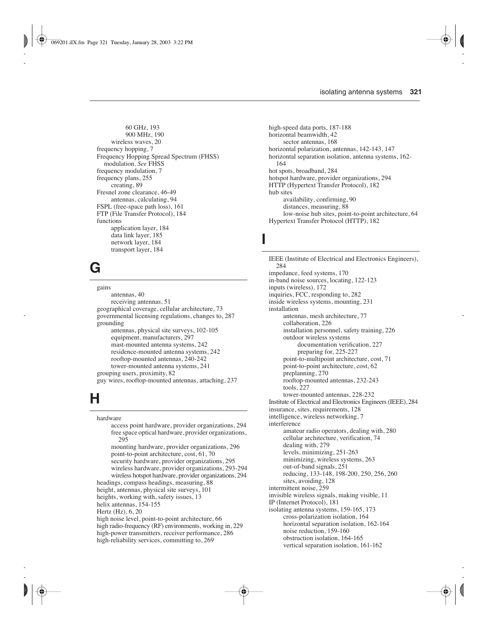60 GHz, 193 900 MHz, 190 wireless waves, 20 frequency hopping, 7 Frequency Hopping Spread Spectrum (FHSS) modulation. *See* FHSS frequency modulation, 7 frequency plans, 255 creating, 89 Fresnel zone clearance, 46-49 antennas, calculating, 94 FSPL (free-space path loss), 161 FTP (File Transfer Protocol), 184 functions application layer, 184 data link layer, 185 network layer, 184 transport layer, 184

# **G**

gains antennas, 40 receiving antennas, 51 geographical coverage, cellular architecture, 73 governmental licensing regulations, changes to, 287 grounding antennas, physical site surveys, 102-105 equipment, manufacturers, 297 mast-mounted antenna systems, 242 residence-mounted antenna systems, 242 rooftop-mounted antennas, 240-242 tower-mounted antenna systems, 241 grouping users, proximity, 82 guy wires, rooftop-mounted antennas, attaching, 237

# **H**

hardware access point hardware, provider organizations, 294 free space optical hardware, provider organizations, 295 mounting hardware, provider organizations, 296 point-to-point architecture, cost, 61, 70 security hardware, provider organizations, 295 wireless hardware, provider organizations, 293-294 wireless hotspot hardware, provider organizations, 294 headings, compass headings, measuring, 88 height, antennas, physical site surveys, 101 heights, working with, safety issues, 13 helix antennas, 154-155 Hertz (Hz), 6, 20 high noise level, point-to-point architecture, 66 high radio-frequency (RF) environments, working in, 229 high-power transmitters, receiver performance, 286 high-reliability services, committing to, 269

high-speed data ports, 187-188 horizontal beamwidth, 42 sector antennas, 168 horizontal polarization, antennas, 142-143, 147 horizontal separation isolation, antenna systems, 162- 164 hot spots, broadband, 284 hotspot hardware, provider organizations, 294 HTTP (Hypertext Transfer Protocol), 182 hub sites availability, confirming, 90 distances, measuring, 88 low-noise hub sites, point-to-point architecture, 64 Hypertext Transfer Protocol (HTTP), 182

#### **I**

IEEE (Institute of Electrical and Electronics Engineers), 284 impedance, feed systems, 170 in-band noise sources, locating, 122-123 inputs (wireless), 172 inquiries, FCC, responding to, 282 inside wireless systems, mounting, 231 installation antennas, mesh architecture, 77 collaboration, 226 installation personnel, safety training, 226 outdoor wireless systems documentation verification, 227 preparing for, 225-227 point-to-multipoint architecture, cost, 71 point-to-point architecture, cost, 62 preplanning, 270 rooftop-mounted antennas, 232-243 tools, 227 tower-mounted antennas, 228-232 Institute of Electrical and Electronics Engineers (IEEE), 284 insurance, sites, requirements, 128 intelligence, wireless networking, 7 interference amateur radio operators, dealing with, 280 cellular architecture, verification, 74 dealing with, 279 levels, minimizing, 251-263 minimizing, wireless systems, 263 out-of-band signals, 251 reducing, 133-148, 198-200, 250, 256, 260 sites, avoiding, 128 intermittent noise, 259 invisible wireless signals, making visible, 11 IP (Internet Protocol), 181 isolating antenna systems, 159-165, 173 cross-polarization isolation, 164 horizontal separation isolation, 162-164 noise reduction, 159-160 obstruction isolation, 164-165 vertical separation isolation, 161-162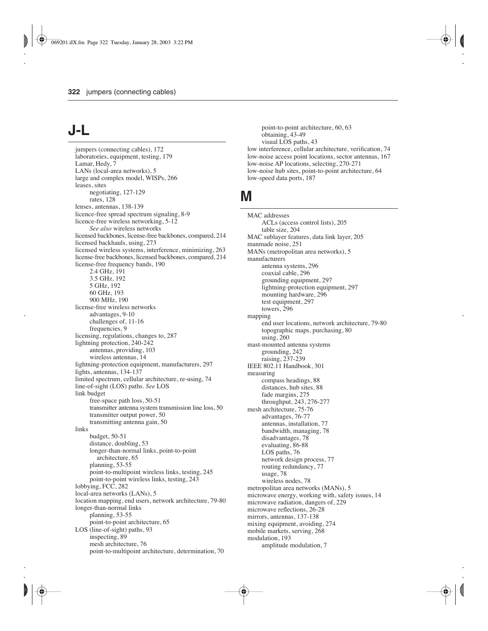## **J-L**

jumpers (connecting cables), 172 laboratories, equipment, testing, 179 Lamar, Hedy, 7 LANs (local-area networks), 5 large and complex model, WISPs, 266 leases, sites negotiating, 127-129 rates, 128 lenses, antennas, 138-139 licence-free spread spectrum signaling, 8-9 licence-free wireless networking, 5-12 *See also* wireless networks licensed backbones, license-free backbones, compared, 214 licensed backhauls, using, 273 licensed wireless systems, interference, minimizing, 263 license-free backbones, licensed backbones, compared, 214 license-free frequency bands, 190 2.4 GHz, 191 3.5 GHz, 192 5 GHz, 192 60 GHz, 193 900 MHz, 190 license-free wireless networks advantages, 9-10 challenges of, 11-16 frequencies, 9 licensing, regulations, changes to, 287 lightning protection, 240-242 antennas, providing, 103 wireless antennas, 14 lightning-protection equipment, manufacturers, 297 lights, antennas, 134-137 limited spectrum, cellular architecture, re-using, 74 line-of-sight (LOS) paths. *See* LOS link budget free-space path loss, 50-51 transmitter antenna system transmission line loss, 50 transmitter output power, 50 transmitting antenna gain, 50 links budget, 50-51 distance, doubling, 53 longer-than-normal links, point-to-point architecture, 65 planning, 53-55 point-to-multipoint wireless links, testing, 245 point-to-point wireless links, testing, 243 lobbying, FCC, 282 local-area networks (LANs), 5 location mapping, end users, network architecture, 79-80 longer-than-normal links planning, 53-55 point-to-point architecture, 65 LOS (line-of-sight) paths, 93 inspecting, 89 mesh architecture, 76 point-to-multipoint architecture, determination, 70

point-to-point architecture, 60, 63 obtaining, 43-49 visual LOS paths, 43 low interference, cellular architecture, verification, 74 low-noise access point locations, sector antennas, 167 low-noise AP locations, selecting, 270-271 low-noise hub sites, point-to-point architecture, 64 low-speed data ports, 187

## **M**

MAC addresses ACLs (access control lists), 205 table size, 204 MAC sublayer features, data link layer, 205 manmade noise, 251 MANs (metropolitan area networks), 5 manufacturers antenna systems, 296 coaxial cable, 296 grounding equipment, 297 lightning-protection equipment, 297 mounting hardware, 296 test equipment, 297 towers, 296 mapping end user locations, network architecture, 79-80 topographic maps, purchasing, 80 using, 260 mast-mounted antenna systems grounding, 242 raising, 237-239 IEEE 802.11 Handbook, 301 measuring compass headings, 88 distances, hub sites, 88 fade margins, 275 throughput, 243, 276-277 mesh architecture, 75-76 advantages, 76-77 antennas, installation, 77 bandwidth, managing, 78 disadvantages, 78 evaluating, 86-88 LOS paths, 76 network design process, 77 routing redundancy, 77 usage, 78 wireless nodes, 78 metropolitan area networks (MANs), 5 microwave energy, working with, safety issues, 14 microwave radiation, dangers of, 229 microwave reflections, 26-28 mirrors, antennas, 137-138 mixing equipment, avoiding, 274 mobile markets, serving, 268 modulation, 193 amplitude modulation, 7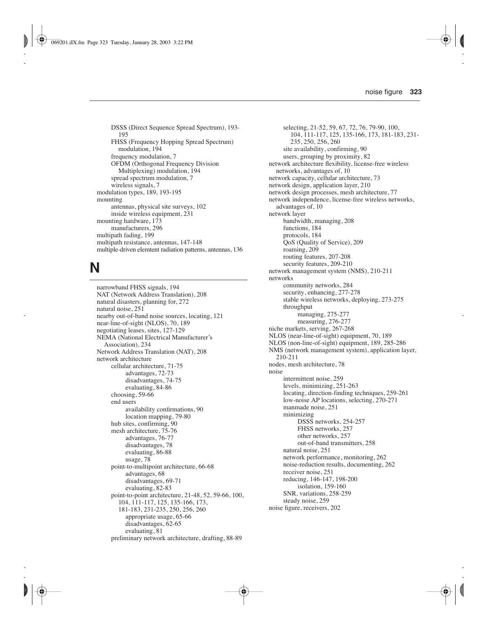DSSS (Direct Sequence Spread Spectrum), 193- 195 FHSS (Frequency Hopping Spread Spectrum) modulation, 194 frequency modulation, 7 OFDM (Orthogonal Frequency Division Multiplexing) modulation, 194 spread spectrum modulation, 7 wireless signals, 7 modulation types, 189, 193-195 mounting antennas, physical site surveys, 102 inside wireless equipment, 231 mounting hardware, 173 manufacturers, 296 multipath fading, 199 multipath resistance, antennas, 147-148 multiple-driven elemtent radiation patterns, antennas, 136

## **N**

narrowband FHSS signals, 194 NAT (Network Address Translation), 208 natural disasters, planning for, 272 natural noise, 251 nearby out-of-band noise sources, locating, 121 near-line-of-sight (NLOS), 70, 189 negotiating leases, sites, 127-129 NEMA (National Electrical Manufacturer's Association), 234 Network Address Translation (NAT), 208 network architecture cellular architecture, 71-75 advantages, 72-73 disadvantages, 74-75 evaluating, 84-86 choosing, 59-66 end users availability confirmations, 90 location mapping, 79-80 hub sites, confirming, 90 mesh architecture, 75-76 advantages, 76-77 disadvantages, 78 evaluating, 86-88 usage, 78 point-to-multipoint architecture, 66-68 advantages, 68 disadvantages, 69-71 evaluating, 82-83 point-to-point architecture, 21-48, 52, 59-66, 100, 104, 111-117, 125, 135-166, 173, 181-183, 231-235, 250, 256, 260 appropriate usage, 65-66 disadvantages, 62-65 evaluating, 81 preliminary network architecture, drafting, 88-89

selecting, 21-52, 59, 67, 72, 76, 79-90, 100, 104, 111-117, 125, 135-166, 173, 181-183, 231- 235, 250, 256, 260 site availability, confirming, 90 users, grouping by proximity, 82 network architecture flexibility, license-free wireless networks, advantages of, 10 network capacity, cellular architecture, 73 network design, application layer, 210 network design processes, mesh architecture, 77 network independence, license-free wireless networks, advantages of, 10 network layer bandwidth, managing, 208 functions, 184 protocols, 184 QoS (Quality of Service), 209 roaming, 209 routing features, 207-208 security features, 209-210 network management system (NMS), 210-211 networks community networks, 284 security, enhancing, 277-278 stable wireless networks, deploying, 273-275 throughput managing, 275-277 measuring, 276-277 niche markets, serving, 267-268 NLOS (near-line-of-sight) equipment, 70, 189 NLOS (non-line-of-sight) equipment, 189, 285-286 NMS (network management system), application layer, 210-211 nodes, mesh architecture, 78 noise intermittent noise, 259 levels, minimizing, 251-263 locating, direction-finding techniques, 259-261 low-noise AP locations, selecting, 270-271 manmade noise, 251 minimizing DSSS networks, 254-257 FHSS networks, 257 other networks, 257 out-of-band transmitters, 258 natural noise, 251 network performance, monitoring, 262 noise-reduction results, documenting, 262 receiver noise, 251 reducing, 146-147, 198-200 isolation, 159-160 SNR, variations, 258-259 steady noise, 259 noise figure, receivers, 202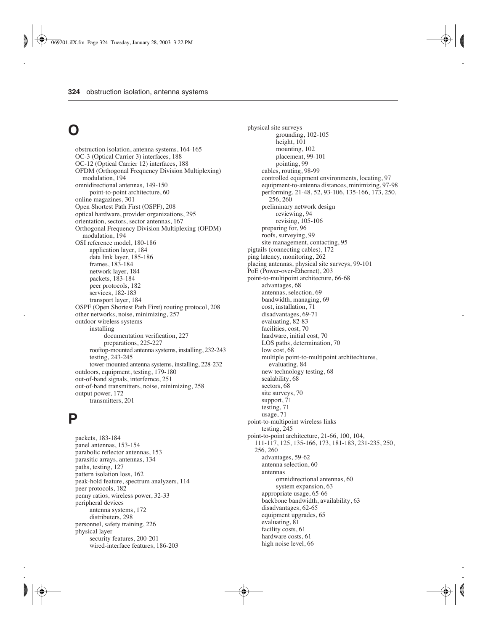# **O**

obstruction isolation, antenna systems, 164-165 OC-3 (Optical Carrier 3) interfaces, 188 OC-12 (Optical Carrier 12) interfaces, 188 OFDM (Orthogonal Frequency Division Multiplexing) modulation, 194 omnidirectional antennas, 149-150 point-to-point architecture, 60 online magazines, 301 Open Shortest Path First (OSPF), 208 optical hardware, provider organizations, 295 orientation, sectors, sector antennas, 167 Orthogonal Frequency Division Multiplexing (OFDM) modulation, 194 OSI reference model, 180-186 application layer, 184 data link layer, 185-186 frames, 183-184 network layer, 184 packets, 183-184 peer protocols, 182 services, 182-183 transport layer, 184 OSPF (Open Shortest Path First) routing protocol, 208 other networks, noise, minimizing, 257 outdoor wireless systems installing documentation verification, 227 preparations, 225-227 rooftop-mounted antenna systems, installing, 232-243 testing, 243-245 tower-mounted antenna systems, installing, 228-232 outdoors, equipment, testing, 179-180 out-of-band signals, interfernce, 251 out-of-band transmitters, noise, minimizing, 258 output power, 172 transmitters, 201

### **P**

packets, 183-184 panel antennas, 153-154 parabolic reflector antennas, 153 parasitic arrays, antennas, 134 paths, testing, 127 pattern isolation loss, 162 peak-hold feature, spectrum analyzers, 114 peer protocols, 182 penny ratios, wireless power, 32-33 peripheral devices antenna systems, 172 distributers, 298 personnel, safety training, 226 physical layer security features, 200-201 wired-interface features, 186-203

physical site surveys grounding, 102-105 height, 101 mounting, 102 placement, 99-101 pointing, 99 cables, routing, 98-99 controlled equipment environments, locating, 97 equipment-to-antenna distances, minimizing, 97-98 performing, 21-48, 52, 93-106, 135-166, 173, 250, 256, 260 preliminary network design reviewing, 94 revising, 105-106 preparing for, 96 roofs, surveying, 99 site management, contacting, 95 pigtails (connecting cables), 172 ping latency, monitoring, 262 placing antennas, physical site surveys, 99-101 PoE (Power-over-Ethernet), 203 point-to-multipoint architecture, 66-68 advantages, 68 antennas, selection, 69 bandwidth, managing, 69 cost, installation, 71 disadvantages, 69-71 evaluating, 82-83 facilities, cost, 70 hardware, initial cost, 70 LOS paths, determination, 70 low cost, 68 multiple point-to-multipoint architechtures, evaluating, 84 new technology testing, 68 scalability, 68 sectors, 68 site surveys, 70 support, 71 testing, 71 usage, 71 point-to-multipoint wireless links testing, 245 point-to-point architecture, 21-66, 100, 104, 111-117, 125, 135-166, 173, 181-183, 231-235, 250, 256, 260 advantages, 59-62 antenna selection, 60 antennas omnidirectional antennas, 60 system expansion, 63 appropriate usage, 65-66 backbone bandwidth, availability, 63 disadvantages, 62-65 equipment upgrades, 65 evaluating, 81 facility costs, 61 hardware costs, 61 high noise level, 66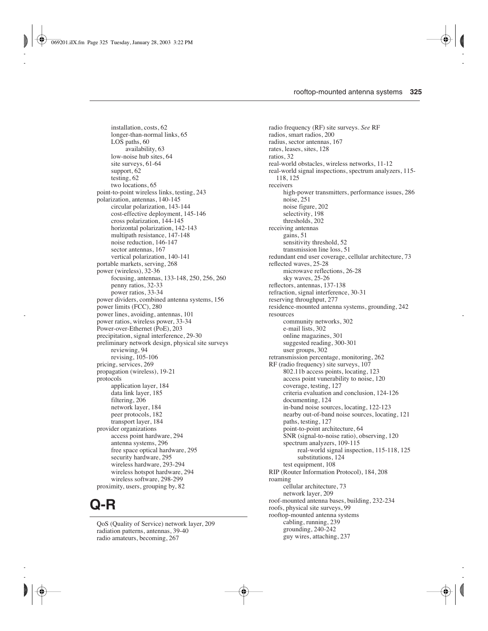installation, costs, 62 longer-than-normal links, 65 LOS paths, 60 availability, 63 low-noise hub sites, 64 site surveys, 61-64 support, 62 testing, 62 two locations, 65 point-to-point wireless links, testing, 243 polarization, antennas, 140-145 circular polarization, 143-144 cost-effective deployment, 145-146 cross polarization, 144-145 horizontal polarization, 142-143 multipath resistance, 147-148 noise reduction, 146-147 sector antennas, 167 vertical polarization, 140-141 portable markets, serving, 268 power (wireless), 32-36 focusing, antennas, 133-148, 250, 256, 260 penny ratios, 32-33 power ratios, 33-34 power dividers, combined antenna systems, 156 power limits (FCC), 280 power lines, avoiding, antennas, 101 power ratios, wireless power, 33-34 Power-over-Ethernet (PoE), 203 precipitation, signal interference, 29-30 preliminary network design, physical site surveys reviewing, 94 revising, 105-106 pricing, services, 269 propagation (wireless), 19-21 protocols application layer, 184 data link layer, 185 filtering, 206 network layer, 184 peer protocols, 182 transport layer, 184 provider organizations access point hardware, 294 antenna systems, 296 free space optical hardware, 295 security hardware, 295 wireless hardware, 293-294 wireless hotspot hardware, 294 wireless software, 298-299 proximity, users, grouping by, 82

## **Q-R**

QoS (Quality of Service) network layer, 209 radiation patterns, antennas, 39-40 radio amateurs, becoming, 267

radio frequency (RF) site surveys. *See* RF radios, smart radios, 200 radius, sector antennas, 167 rates, leases, sites, 128 ratios, 32 real-world obstacles, wireless networks, 11-12 real-world signal inspections, spectrum analyzers, 115- 118, 125 receivers high-power transmitters, performance issues, 286 noise, 251 noise figure, 202 selectivity, 198 thresholds, 202 receiving antennas gains, 51 sensitivity threshold, 52 transmission line loss, 51 redundant end user coverage, cellular architecture, 73 reflected waves, 25-28 microwave reflections, 26-28 sky waves, 25-26 reflectors, antennas, 137-138 refraction, signal interference, 30-31 reserving throughput, 277 residence-mounted antenna systems, grounding, 242 resources community networks, 302 e-mail lists, 302 online magazines, 301 suggested reading, 300-301 user groups, 302 retransmission percentage, monitoring, 262 RF (radio frequency) site surveys, 107 802.11b access points, locating, 123 access point vunerability to noise, 120 coverage, testing, 127 criteria evaluation and conclusion, 124-126 documenting, 124 in-band noise sources, locating, 122-123 nearby out-of-band noise sources, locating, 121 paths, testing, 127 point-to-point architecture, 64 SNR (signal-to-noise ratio), observing, 120 spectrum analyzers, 109-115 real-world signal inspection, 115-118, 125 substitutions, 124 test equipment, 108 RIP (Router Information Protocol), 184, 208 roaming cellular architecture, 73 network layer, 209 roof-mounted antenna bases, building, 232-234 roofs, physical site surveys, 99 rooftop-mounted antenna systems cabling, running, 239 grounding, 240-242 guy wires, attaching, 237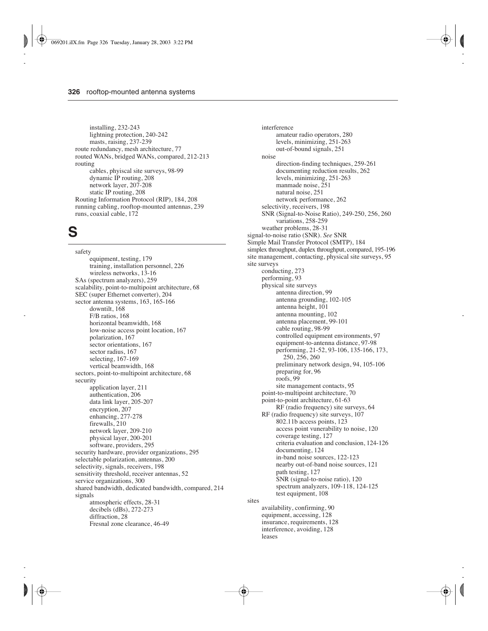installing, 232-243 lightning protection, 240-242 masts, raising, 237-239 route redundancy, mesh architecture, 77 routed WANs, bridged WANs, compared, 212-213 routing cables, phyiscal site surveys, 98-99 dynamic IP routing, 208 network layer, 207-208 static IP routing, 208 Routing Information Protocol (RIP), 184, 208 running cabling, rooftop-mounted antennas, 239 runs, coaxial cable, 172

## **S**

safety equipment, testing, 179 training, installation personnel, 226 wireless networks, 13-16 SAs (spectrum analyzers), 259 scalability, point-to-multipoint architecture, 68 SEC (super Ethernet converter), 204 sector antenna systems, 163, 165-166 downtilt, 168 F/B ratios, 168 horizontal beamwidth, 168 low-noise access point location, 167 polarization, 167 sector orientations, 167 sector radius, 167 selecting, 167-169 vertical beamwidth, 168 sectors, point-to-multipoint architecture, 68 security application layer, 211 authentication, 206 data link layer, 205-207 encryption, 207 enhancing, 277-278 firewalls, 210 network layer, 209-210 physical layer, 200-201 software, providers, 295 security hardware, provider organizations, 295 selectable polarization, antennas, 200 selectivity, signals, receivers, 198 sensitivity threshold, receiver antennas, 52 service organizations, 300 shared bandwidth, dedicated bandwidth, compared, 214 signals atmospheric effects, 28-31 decibels (dBs), 272-273 diffraction, 28 Fresnal zone clearance, 46-49

interference amateur radio operators, 280 levels, minimizing, 251-263 out-of-bound signals, 251 noise direction-finding techniques, 259-261 documenting reduction results, 262 levels, minimizing, 251-263 manmade noise, 251 natural noise, 251 network performance, 262 selectivity, receivers, 198 SNR (Signal-to-Noise Ratio), 249-250, 256, 260 variations, 258-259 weather problems, 28-31 signal-to-noise ratio (SNR). *See* SNR Simple Mail Transfer Protocol (SMTP), 184 simplex throughput, duplex throughput, compared, 195-196 site management, contacting, physical site surveys, 95 site surveys conducting, 273 performing, 93 physical site surveys antenna direction, 99 antenna grounding, 102-105 antenna height, 101 antenna mounting, 102 antenna placement, 99-101 cable routing, 98-99 controlled equipment environments, 97 equipment-to-antenna distance, 97-98 performing, 21-52, 93-106, 135-166, 173, 250, 256, 260 preliminary network design, 94, 105-106 preparing for, 96 roofs, 99 site management contacts, 95 point-to-multipoint architecture, 70 point-to-point architecture, 61-63 RF (radio frequency) site surveys, 64 RF (radio frequency) site surveys, 107 802.11b access points, 123 access point vunerability to noise, 120 coverage testing, 127 criteria evaluation and conclusion, 124-126 documenting, 124 in-band noise sources, 122-123 nearby out-of-band noise sources, 121 path testing, 127 SNR (signal-to-noise ratio), 120 spectrum analyzers, 109-118, 124-125 test equipment, 108 sites availability, confirming, 90 equipment, accessing, 128 insurance, requirements, 128

interference, avoiding, 128

leases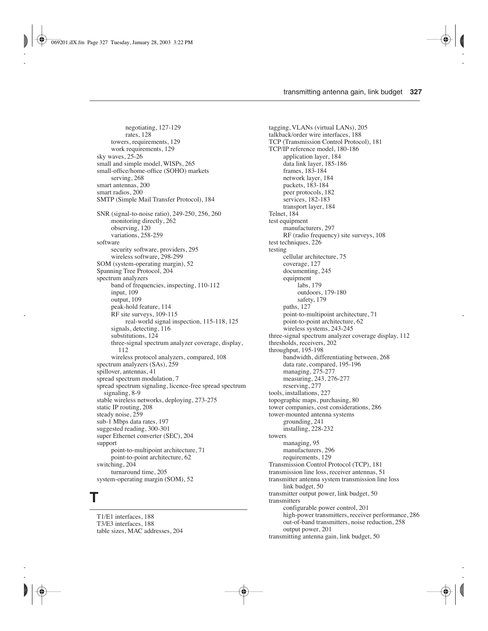negotiating, 127-129 rates, 128 towers, requirements, 129 work requirements, 129 sky waves, 25-26 small and simple model, WISPs, 265 small-office/home-office (SOHO) markets serving, 268 smart antennas, 200 smart radios, 200 SMTP (Simple Mail Transfer Protocol), 184 SNR (signal-to-noise ratio), 249-250, 256, 260 monitoring directly, 262 observing, 120 variations, 258-259 software security software, providers, 295 wireless software, 298-299 SOM (system-operating margin), 52 Spanning Tree Protocol, 204 spectrum analyzers band of frequencies, inspecting, 110-112 input, 109 output, 109 peak-hold feature, 114 RF site surveys, 109-115 real-world signal inspection, 115-118, 125 signals, detecting, 116 substitutions, 124 three-signal spectrum analyzer coverage, display, 112 wireless protocol analyzers, compared, 108 spectrum analyzers (SAs), 259 spillover, antennas, 41 spread spectrum modulation, 7 spread spectrum signaling, licence-free spread spectrum signaling, 8-9 stable wireless networks, deploying, 273-275 static IP routing, 208 steady noise, 259 sub-1 Mbps data rates, 197 suggested reading, 300-301 super Ethernet converter (SEC), 204 support point-to-multipoint architecture, 71 point-to-point architecture, 62 switching, 204 turnaround time, 205 system-operating margin (SOM), 52

## **T**

T1/E1 interfaces, 188 T3/E3 interfaces, 188 table sizes, MAC addresses, 204 tagging, VLANs (virtual LANs), 205 talkback/order wire interfaces, 188 TCP (Transmission Control Protocol), 181 TCP/IP reference model, 180-186 application layer, 184 data link layer, 185-186 frames, 183-184 network layer, 184 packets, 183-184 peer protocols, 182 services, 182-183 transport layer, 184 Telnet, 184 test equipment manufacturers, 297 RF (radio frequency) site surveys, 108 test techniques, 226 testing cellular architecture, 75 coverage, 127 documenting, 245 equipment labs, 179 outdoors, 179-180 safety, 179 paths, 127 point-to-multipoint architecture, 71 point-to-point architecture, 62 wireless systems, 243-245 three-signal spectrum analyzer coverage display, 112 thresholds, receivers, 202 throughput, 195-198 bandwidth, differentiating between, 268 data rate, compared, 195-196 managing, 275-277 measuring, 243, 276-277 reserving, 277 tools, installations, 227 topographic maps, purchasing, 80 tower companies, cost considerations, 286 tower-mounted antenna systems grounding, 241 installing, 228-232 towers managing, 95 manufacturers, 296 requirements, 129 Transmission Control Protocol (TCP), 181 transmission line loss, receiver antennas, 51 transmitter antenna system transmission line loss link budget, 50 transmitter output power, link budget, 50 transmitters configurable power control, 201 high-power transmitters, receiver performance, 286 out-of-band transmitters, noise reduction, 258 output power, 201 transmitting antenna gain, link budget, 50